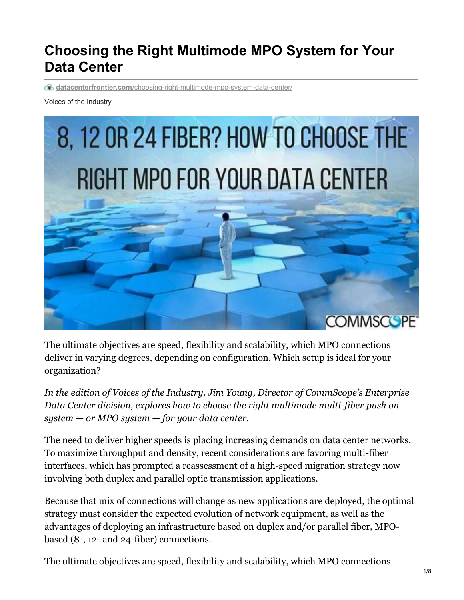# **Choosing the Right Multimode MPO System for Your Data Center**

**datacenterfrontier.com**[/choosing-right-multimode-mpo-system-data-center/](https://datacenterfrontier.com/choosing-right-multimode-mpo-system-data-center/)

Voices of the Industry



The ultimate objectives are speed, flexibility and scalability, which MPO connections deliver in varying degrees, depending on configuration. Which setup is ideal for your organization?

*In the edition of Voices of the Industry, Jim Young, Director of CommScope's Enterprise Data Center division, explores how to choose the right multimode multi-fiber push on system — or MPO system — for your data center.*

The need to deliver higher speeds is placing increasing demands on data center networks. To maximize throughput and density, recent considerations are favoring multi-fiber interfaces, which has prompted a reassessment of a high-speed migration strategy now involving both duplex and parallel optic transmission applications.

Because that mix of connections will change as new applications are deployed, the optimal strategy must consider the expected evolution of network equipment, as well as the advantages of deploying an infrastructure based on duplex and/or parallel fiber, MPObased (8-, 12- and 24-fiber) connections.

The ultimate objectives are speed, flexibility and scalability, which MPO connections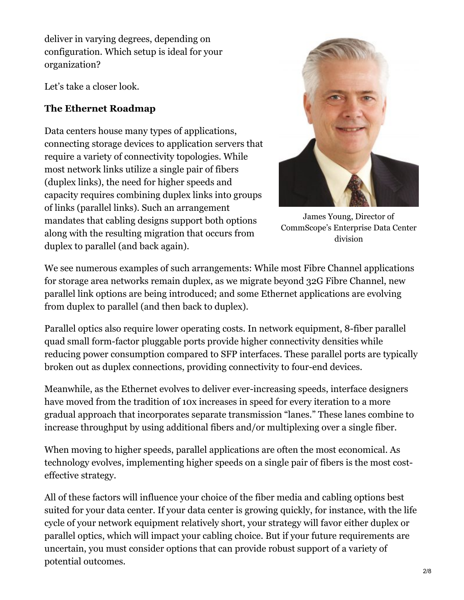deliver in varying degrees, depending on configuration. Which setup is ideal for your organization?

Let's take a closer look.

#### **The Ethernet Roadmap**

Data centers house many types of applications, connecting storage devices to application servers that require a variety of connectivity topologies. While most network links utilize a single pair of fibers (duplex links), the need for higher speeds and capacity requires combining duplex links into groups of links (parallel links). Such an arrangement mandates that cabling designs support both options along with the resulting migration that occurs from duplex to parallel (and back again).



James Young, Director of CommScope's Enterprise Data Center division

We see numerous examples of such arrangements: While most Fibre Channel applications for storage area networks remain duplex, as we migrate beyond 32G Fibre Channel, new parallel link options are being introduced; and some Ethernet applications are evolving from duplex to parallel (and then back to duplex).

Parallel optics also require lower operating costs. In network equipment, 8-fiber parallel quad small form-factor pluggable ports provide higher connectivity densities while reducing power consumption compared to SFP interfaces. These parallel ports are typically broken out as duplex connections, providing connectivity to four-end devices.

Meanwhile, as the Ethernet evolves to deliver ever-increasing speeds, interface designers have moved from the tradition of 10x increases in speed for every iteration to a more gradual approach that incorporates separate transmission "lanes." These lanes combine to increase throughput by using additional fibers and/or multiplexing over a single fiber.

When moving to higher speeds, parallel applications are often the most economical. As technology evolves, implementing higher speeds on a single pair of fibers is the most costeffective strategy.

All of these factors will influence your choice of the fiber media and cabling options best suited for your data center. If your data center is growing quickly, for instance, with the life cycle of your network equipment relatively short, your strategy will favor either duplex or parallel optics, which will impact your cabling choice. But if your future requirements are uncertain, you must consider options that can provide robust support of a variety of potential outcomes.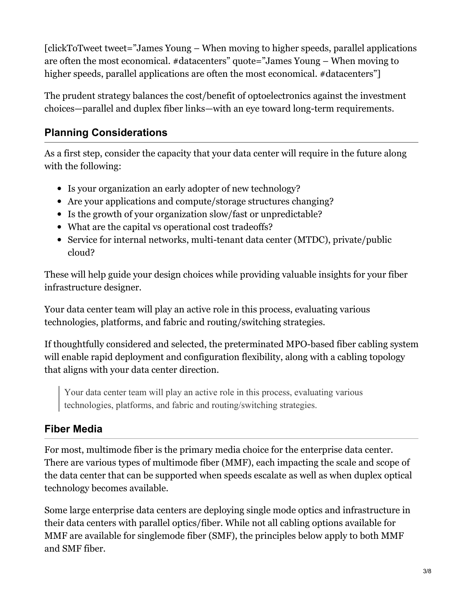[clickToTweet tweet="James Young – When moving to higher speeds, parallel applications are often the most economical. #datacenters" quote="James Young – When moving to higher speeds, parallel applications are often the most economical. #datacenters"]

The prudent strategy balances the cost/benefit of optoelectronics against the investment choices—parallel and duplex fiber links—with an eye toward long-term requirements.

#### **Planning Considerations**

As a first step, consider the capacity that your data center will require in the future along with the following:

- Is your organization an early adopter of new technology?
- Are your applications and compute/storage structures changing?
- Is the growth of your organization slow/fast or unpredictable?
- What are the capital vs operational cost tradeoffs?
- Service for internal networks, multi-tenant data center (MTDC), private/public cloud?

These will help guide your design choices while providing valuable insights for your fiber infrastructure designer.

Your data center team will play an active role in this process, evaluating various technologies, platforms, and fabric and routing/switching strategies.

If thoughtfully considered and selected, the preterminated MPO-based fiber cabling system will enable rapid deployment and configuration flexibility, along with a cabling topology that aligns with your data center direction.

Your data center team will play an active role in this process, evaluating various technologies, platforms, and fabric and routing/switching strategies.

#### **Fiber Media**

For most, multimode fiber is the primary media choice for the enterprise data center. There are various types of multimode fiber (MMF), each impacting the scale and scope of the data center that can be supported when speeds escalate as well as when duplex optical technology becomes available.

Some large enterprise data centers are deploying single mode optics and infrastructure in their data centers with parallel optics/fiber. While not all cabling options available for MMF are available for singlemode fiber (SMF), the principles below apply to both MMF and SMF fiber.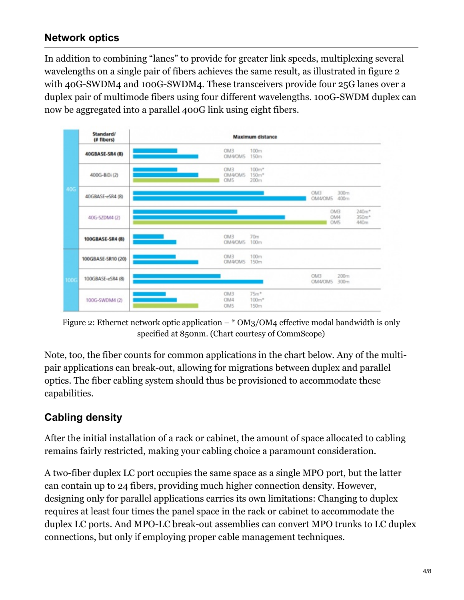#### **Network optics**

In addition to combining "lanes" to provide for greater link speeds, multiplexing several wavelengths on a single pair of fibers achieves the same result, as illustrated in figure 2 with 40G-SWDM4 and 100G-SWDM4. These transceivers provide four 25G lanes over a duplex pair of multimode fibers using four different wavelengths. 100G-SWDM duplex can now be aggregated into a parallel 400G link using eight fibers.



Figure 2: Ethernet network optic application  $-$  \* OM3/OM4 effective modal bandwidth is only specified at 850nm. (Chart courtesy of CommScope)

Note, too, the fiber counts for common applications in the chart below. Any of the multipair applications can break-out, allowing for migrations between duplex and parallel optics. The fiber cabling system should thus be provisioned to accommodate these capabilities.

#### **Cabling density**

After the initial installation of a rack or cabinet, the amount of space allocated to cabling remains fairly restricted, making your cabling choice a paramount consideration.

A two-fiber duplex LC port occupies the same space as a single MPO port, but the latter can contain up to 24 fibers, providing much higher connection density. However, designing only for parallel applications carries its own limitations: Changing to duplex requires at least four times the panel space in the rack or cabinet to accommodate the duplex LC ports. And MPO-LC break-out assemblies can convert MPO trunks to LC duplex connections, but only if employing proper cable management techniques.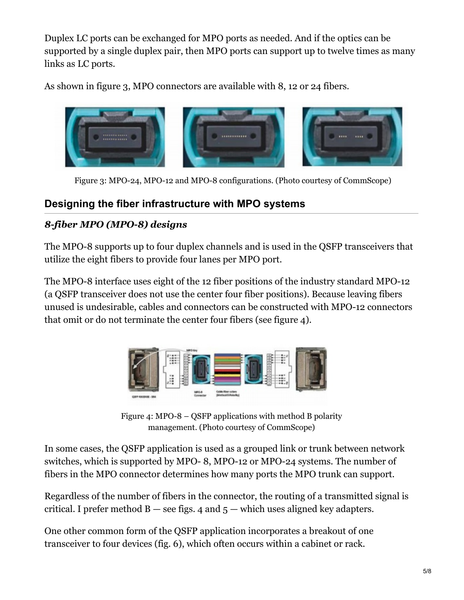Duplex LC ports can be exchanged for MPO ports as needed. And if the optics can be supported by a single duplex pair, then MPO ports can support up to twelve times as many links as LC ports.

As shown in figure 3, MPO connectors are available with 8, 12 or 24 fibers.



Figure 3: MPO-24, MPO-12 and MPO-8 configurations. (Photo courtesy of CommScope)

### **Designing the fiber infrastructure with MPO systems**

#### *8-fiber MPO (MPO-8) designs*

The MPO-8 supports up to four duplex channels and is used in the QSFP transceivers that utilize the eight fibers to provide four lanes per MPO port.

The MPO-8 interface uses eight of the 12 fiber positions of the industry standard MPO-12 (a QSFP transceiver does not use the center four fiber positions). Because leaving fibers unused is undesirable, cables and connectors can be constructed with MPO-12 connectors that omit or do not terminate the center four fibers (see figure 4).



Figure 4: MPO-8 – QSFP applications with method B polarity management. (Photo courtesy of CommScope)

In some cases, the QSFP application is used as a grouped link or trunk between network switches, which is supported by MPO- 8, MPO-12 or MPO-24 systems. The number of fibers in the MPO connector determines how many ports the MPO trunk can support.

Regardless of the number of fibers in the connector, the routing of a transmitted signal is critical. I prefer method  $B$  — see figs. 4 and  $5$  — which uses aligned key adapters.

One other common form of the QSFP application incorporates a breakout of one transceiver to four devices (fig. 6), which often occurs within a cabinet or rack.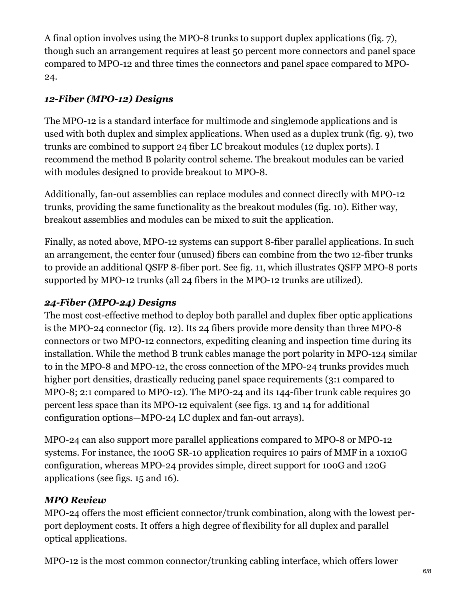A final option involves using the MPO-8 trunks to support duplex applications (fig. 7), though such an arrangement requires at least 50 percent more connectors and panel space compared to MPO-12 and three times the connectors and panel space compared to MPO-24.

#### *12-Fiber (MPO-12) Designs*

The MPO-12 is a standard interface for multimode and singlemode applications and is used with both duplex and simplex applications. When used as a duplex trunk (fig. 9), two trunks are combined to support 24 fiber LC breakout modules (12 duplex ports). I recommend the method B polarity control scheme. The breakout modules can be varied with modules designed to provide breakout to MPO-8.

Additionally, fan-out assemblies can replace modules and connect directly with MPO-12 trunks, providing the same functionality as the breakout modules (fig. 10). Either way, breakout assemblies and modules can be mixed to suit the application.

Finally, as noted above, MPO-12 systems can support 8-fiber parallel applications. In such an arrangement, the center four (unused) fibers can combine from the two 12-fiber trunks to provide an additional QSFP 8-fiber port. See fig. 11, which illustrates QSFP MPO-8 ports supported by MPO-12 trunks (all 24 fibers in the MPO-12 trunks are utilized).

#### *24-Fiber (MPO-24) Designs*

The most cost-effective method to deploy both parallel and duplex fiber optic applications is the MPO-24 connector (fig. 12). Its 24 fibers provide more density than three MPO-8 connectors or two MPO-12 connectors, expediting cleaning and inspection time during its installation. While the method B trunk cables manage the port polarity in MPO-124 similar to in the MPO-8 and MPO-12, the cross connection of the MPO-24 trunks provides much higher port densities, drastically reducing panel space requirements (3:1 compared to MPO-8; 2:1 compared to MPO-12). The MPO-24 and its 144-fiber trunk cable requires 30 percent less space than its MPO-12 equivalent (see figs. 13 and 14 for additional configuration options—MPO-24 LC duplex and fan-out arrays).

MPO-24 can also support more parallel applications compared to MPO-8 or MPO-12 systems. For instance, the 100G SR-10 application requires 10 pairs of MMF in a 10x10G configuration, whereas MPO-24 provides simple, direct support for 100G and 120G applications (see figs. 15 and 16).

#### *MPO Review*

MPO-24 offers the most efficient connector/trunk combination, along with the lowest perport deployment costs. It offers a high degree of flexibility for all duplex and parallel optical applications.

MPO-12 is the most common connector/trunking cabling interface, which offers lower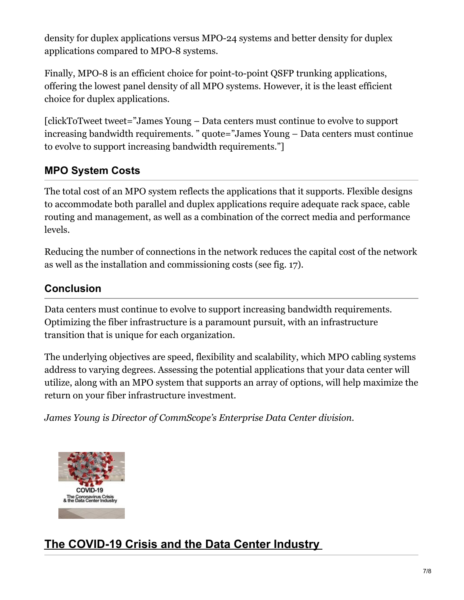density for duplex applications versus MPO-24 systems and better density for duplex applications compared to MPO-8 systems.

Finally, MPO-8 is an efficient choice for point-to-point QSFP trunking applications, offering the lowest panel density of all MPO systems. However, it is the least efficient choice for duplex applications.

[clickToTweet tweet="James Young – Data centers must continue to evolve to support increasing bandwidth requirements. " quote="James Young – Data centers must continue to evolve to support increasing bandwidth requirements."]

### **MPO System Costs**

The total cost of an MPO system reflects the applications that it supports. Flexible designs to accommodate both parallel and duplex applications require adequate rack space, cable routing and management, as well as a combination of the correct media and performance levels.

Reducing the number of connections in the network reduces the capital cost of the network as well as the installation and commissioning costs (see fig. 17).

### **Conclusion**

Data centers must continue to evolve to support increasing bandwidth requirements. Optimizing the fiber infrastructure is a paramount pursuit, with an infrastructure transition that is unique for each organization.

The underlying objectives are speed, flexibility and scalability, which MPO cabling systems address to varying degrees. Assessing the potential applications that your data center will utilize, along with an MPO system that supports an array of options, will help maximize the return on your fiber infrastructure investment.

*James Young is Director of CommScope's Enterprise Data Center division.*



## **The [COVID-19](https://datacenterfrontier.com/the-covid-19-crisis-and-the-data-center-industry/) Crisis and the Data Center Industry**